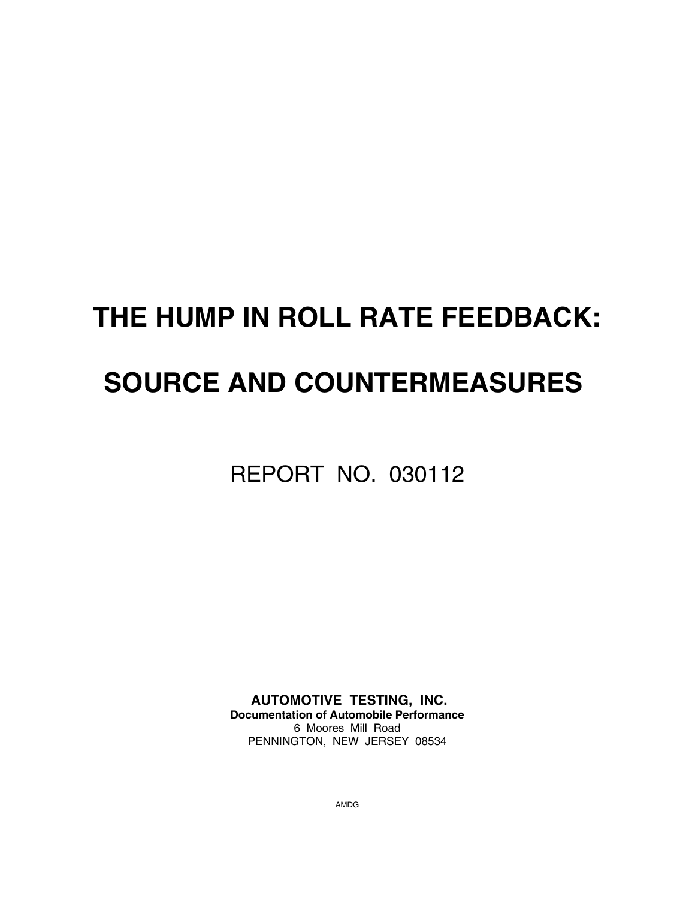# **THE HUMP IN ROLL RATE FEEDBACK: SOURCE AND COUNTERMEASURES**

REPORT NO. 030112

 **AUTOMOTIVE TESTING, INC. Documentation of Automobile Performance** 6 Moores Mill Road PENNINGTON, NEW JERSEY 08534

AMDG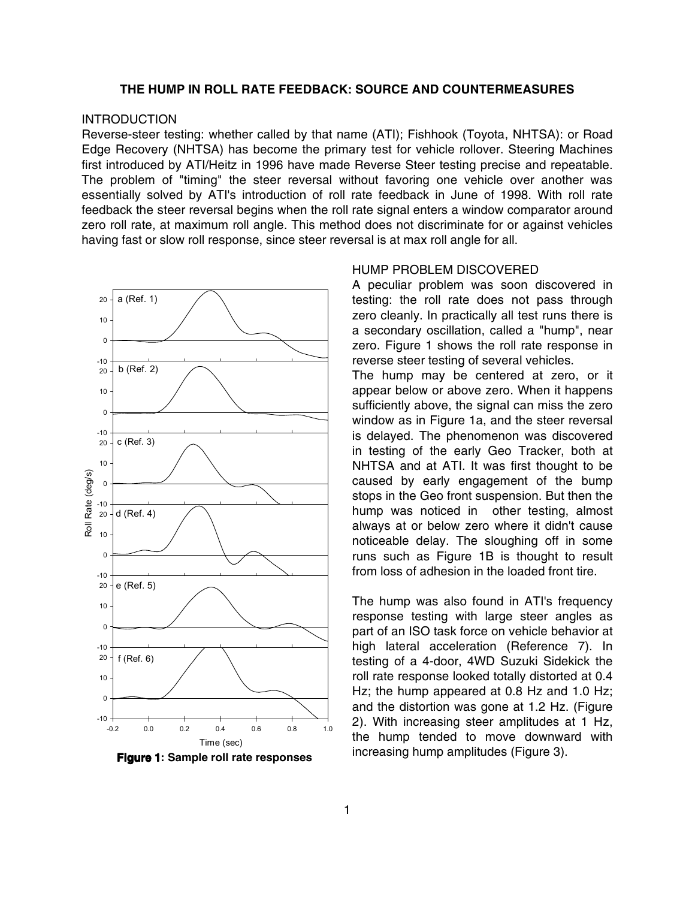# **THE HUMP IN ROLL RATE FEEDBACK: SOURCE AND COUNTERMEASURES**

# **INTRODUCTION**

Reverse-steer testing: whether called by that name (ATI); Fishhook (Toyota, NHTSA): or Road Edge Recovery (NHTSA) has become the primary test for vehicle rollover. Steering Machines first introduced by ATI/Heitz in 1996 have made Reverse Steer testing precise and repeatable. The problem of "timing" the steer reversal without favoring one vehicle over another was essentially solved by ATI's introduction of roll rate feedback in June of 1998. With roll rate feedback the steer reversal begins when the roll rate signal enters a window comparator around zero roll rate, at maximum roll angle. This method does not discriminate for or against vehicles having fast or slow roll response, since steer reversal is at max roll angle for all.



**Figure 1: Sample roll rate responses** 

#### HUMP PROBLEM DISCOVERED

A peculiar problem was soon discovered in testing: the roll rate does not pass through zero cleanly. In practically all test runs there is a secondary oscillation, called a "hump", near zero. Figure 1 shows the roll rate response in reverse steer testing of several vehicles.

The hump may be centered at zero, or it appear below or above zero. When it happens sufficiently above, the signal can miss the zero window as in Figure 1a, and the steer reversal is delayed. The phenomenon was discovered in testing of the early Geo Tracker, both at NHTSA and at ATI. It was first thought to be caused by early engagement of the bump stops in the Geo front suspension. But then the hump was noticed in other testing, almost always at or below zero where it didn't cause noticeable delay. The sloughing off in some runs such as Figure 1B is thought to result from loss of adhesion in the loaded front tire.

The hump was also found in ATI's frequency response testing with large steer angles as part of an ISO task force on vehicle behavior at high lateral acceleration (Reference 7). In testing of a 4-door, 4WD Suzuki Sidekick the roll rate response looked totally distorted at 0.4 Hz; the hump appeared at 0.8 Hz and 1.0 Hz; and the distortion was gone at 1.2 Hz. (Figure 2). With increasing steer amplitudes at 1 Hz, the hump tended to move downward with increasing hump amplitudes (Figure 3).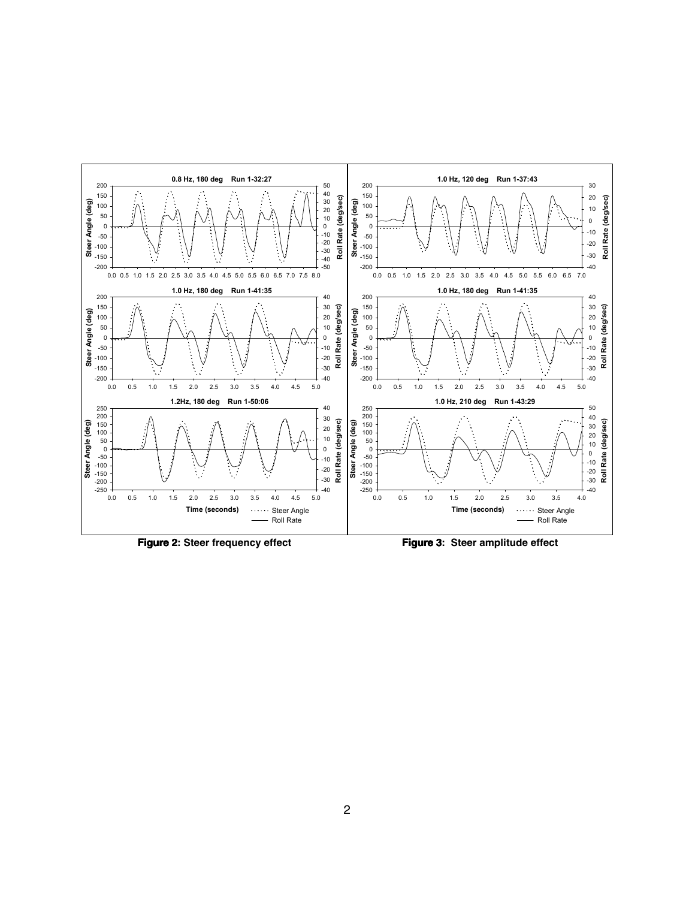

**Figure 2: Steer frequency effect Figure 2**

**Figure 3: Steer amplitude effect Figure 3**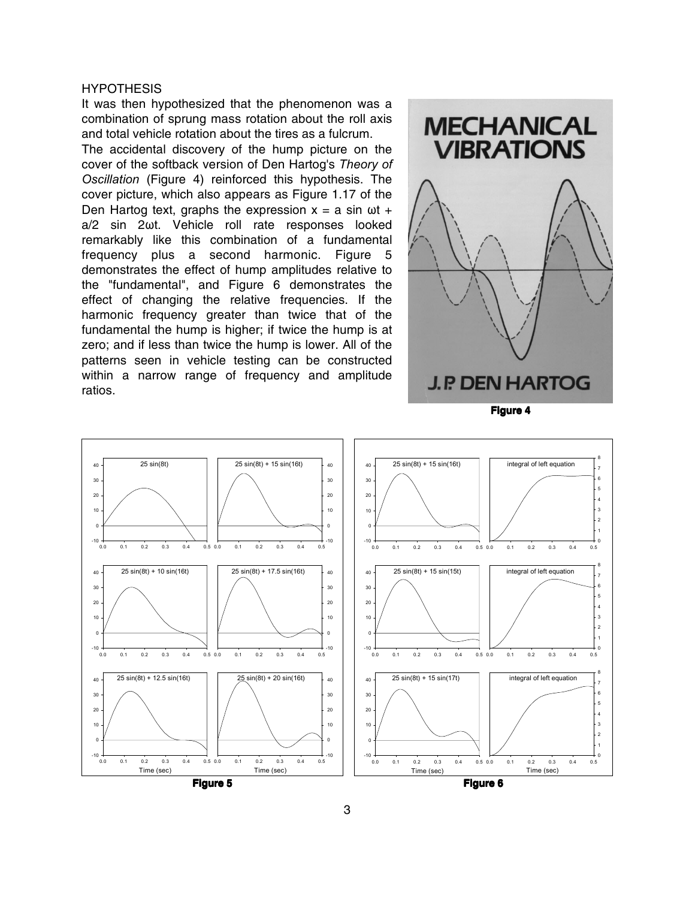#### **HYPOTHESIS**

It was then hypothesized that the phenomenon was a combination of sprung mass rotation about the roll axis and total vehicle rotation about the tires as a fulcrum.

The accidental discovery of the hump picture on the cover of the softback version of Den Hartog's *Theory of Oscillation* (Figure 4) reinforced this hypothesis. The cover picture, which also appears as Figure 1.17 of the Den Hartog text, graphs the expression  $x = a \sin \omega t + b \sin \omega t$ a/2 sin 2wt. Vehicle roll rate responses looked remarkably like this combination of a fundamental frequency plus a second harmonic. Figure 5 demonstrates the effect of hump amplitudes relative to the "fundamental", and Figure 6 demonstrates the effect of changing the relative frequencies. If the harmonic frequency greater than twice that of the fundamental the hump is higher; if twice the hump is at zero; and if less than twice the hump is lower. All of the patterns seen in vehicle testing can be constructed within a narrow range of frequency and amplitude ratios.



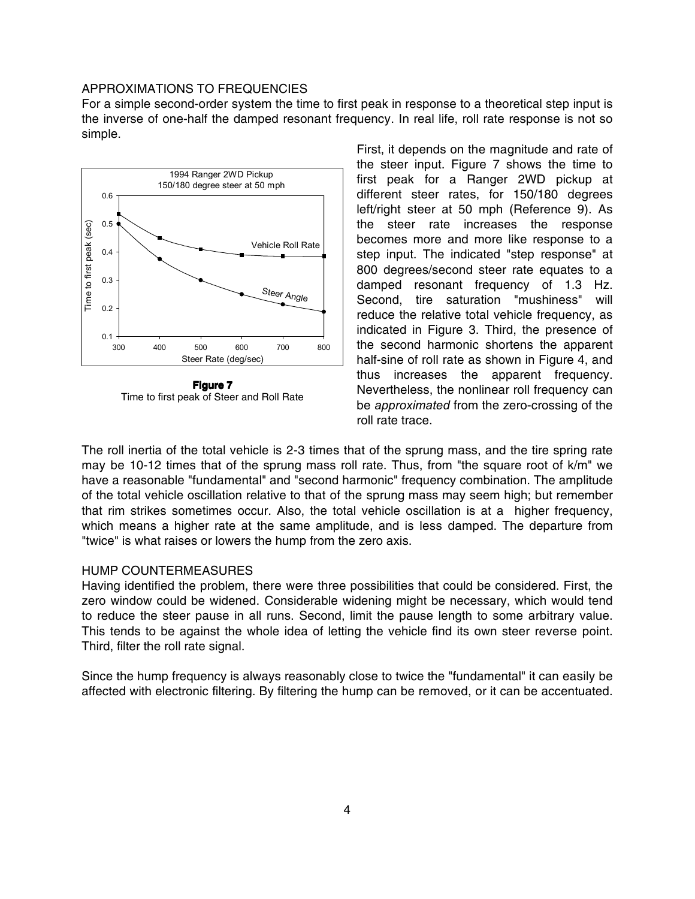# APPROXIMATIONS TO FREQUENCIES

For a simple second-order system the time to first peak in response to a theoretical step input is the inverse of one-half the damped resonant frequency. In real life, roll rate response is not so simple.



**Figure 7** Time to first peak of Steer and Roll Rate

First, it depends on the magnitude and rate of the steer input. Figure 7 shows the time to first peak for a Ranger 2WD pickup at different steer rates, for 150/180 degrees left/right steer at 50 mph (Reference 9). As the steer rate increases the response becomes more and more like response to a step input. The indicated "step response" at 800 degrees/second steer rate equates to a damped resonant frequency of 1.3 Hz. Second, tire saturation "mushiness" will reduce the relative total vehicle frequency, as indicated in Figure 3. Third, the presence of the second harmonic shortens the apparent half-sine of roll rate as shown in Figure 4, and thus increases the apparent frequency. Nevertheless, the nonlinear roll frequency can be *approximated* from the zero-crossing of the roll rate trace.

The roll inertia of the total vehicle is 2-3 times that of the sprung mass, and the tire spring rate may be 10-12 times that of the sprung mass roll rate. Thus, from "the square root of k/m" we have a reasonable "fundamental" and "second harmonic" frequency combination. The amplitude of the total vehicle oscillation relative to that of the sprung mass may seem high; but remember that rim strikes sometimes occur. Also, the total vehicle oscillation is at a higher frequency, which means a higher rate at the same amplitude, and is less damped. The departure from "twice" is what raises or lowers the hump from the zero axis.

# HUMP COUNTERMEASURES

Having identified the problem, there were three possibilities that could be considered. First, the zero window could be widened. Considerable widening might be necessary, which would tend to reduce the steer pause in all runs. Second, limit the pause length to some arbitrary value. This tends to be against the whole idea of letting the vehicle find its own steer reverse point. Third, filter the roll rate signal.

Since the hump frequency is always reasonably close to twice the "fundamental" it can easily be affected with electronic filtering. By filtering the hump can be removed, or it can be accentuated.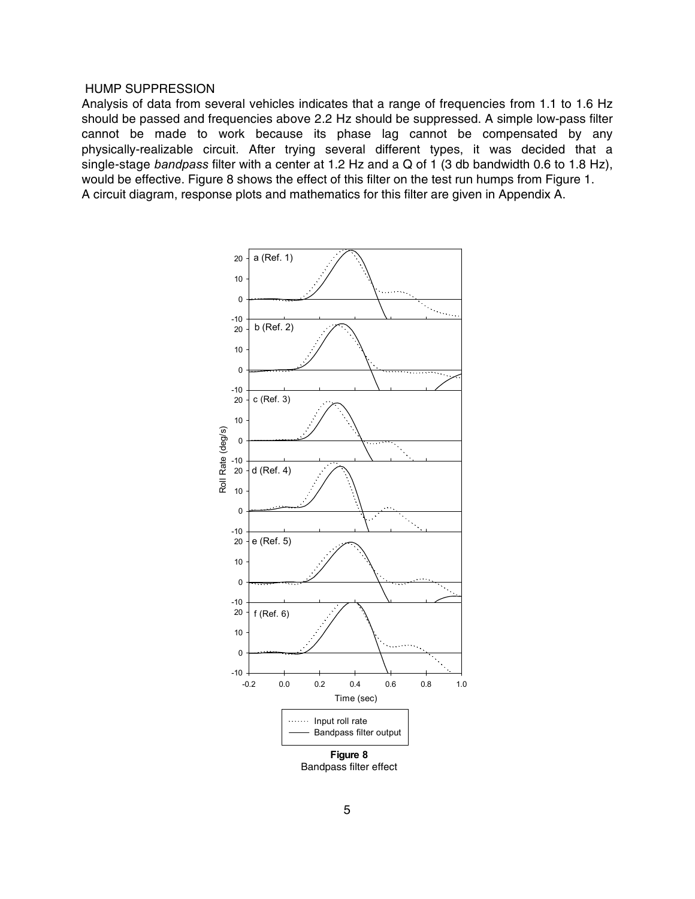### HUMP SUPPRESSION

Analysis of data from several vehicles indicates that a range of frequencies from 1.1 to 1.6 Hz should be passed and frequencies above 2.2 Hz should be suppressed. A simple low-pass filter cannot be made to work because its phase lag cannot be compensated by any physically-realizable circuit. After trying several different types, it was decided that a single-stage *bandpass* filter with a center at 1.2 Hz and a Q of 1 (3 db bandwidth 0.6 to 1.8 Hz), would be effective. Figure 8 shows the effect of this filter on the test run humps from Figure 1. A circuit diagram, response plots and mathematics for this filter are given in Appendix A.



Bandpass filter effect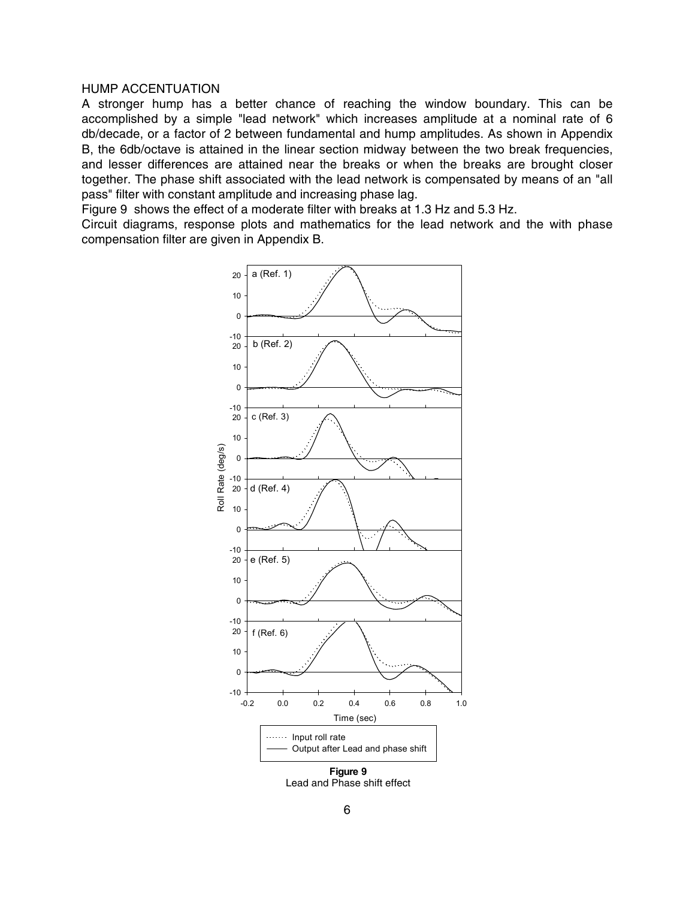# HUMP ACCENTUATION

A stronger hump has a better chance of reaching the window boundary. This can be accomplished by a simple "lead network" which increases amplitude at a nominal rate of 6 db/decade, or a factor of 2 between fundamental and hump amplitudes. As shown in Appendix B, the 6db/octave is attained in the linear section midway between the two break frequencies, and lesser differences are attained near the breaks or when the breaks are brought closer together. The phase shift associated with the lead network is compensated by means of an "all pass" filter with constant amplitude and increasing phase lag.

Figure 9 shows the effect of a moderate filter with breaks at 1.3 Hz and 5.3 Hz.

Circuit diagrams, response plots and mathematics for the lead network and the with phase compensation filter are given in Appendix B.



Lead and Phase shift effect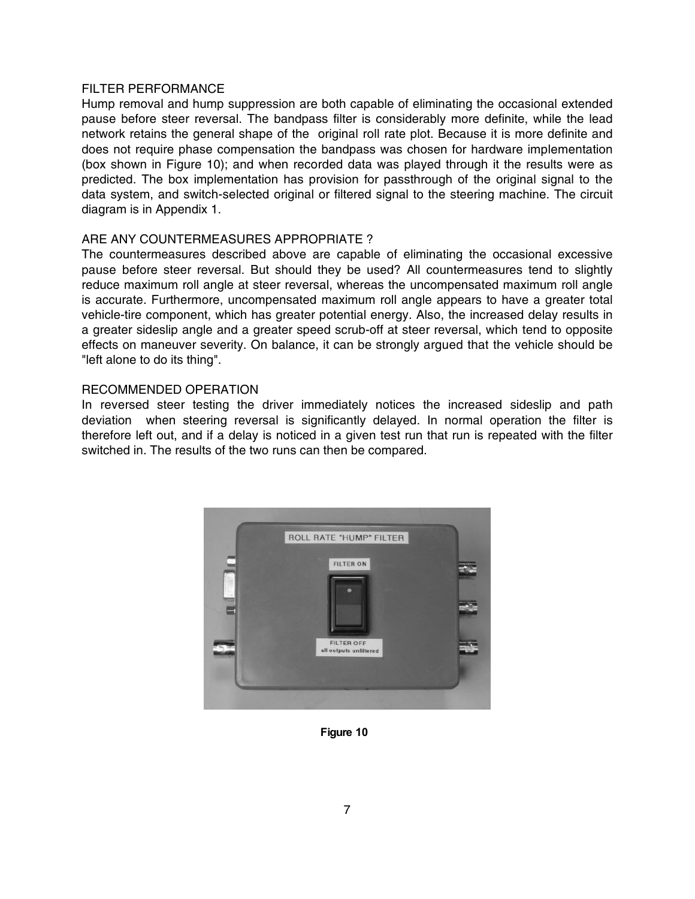# FILTER PERFORMANCE

Hump removal and hump suppression are both capable of eliminating the occasional extended pause before steer reversal. The bandpass filter is considerably more definite, while the lead network retains the general shape of the original roll rate plot. Because it is more definite and does not require phase compensation the bandpass was chosen for hardware implementation (box shown in Figure 10); and when recorded data was played through it the results were as predicted. The box implementation has provision for passthrough of the original signal to the data system, and switch-selected original or filtered signal to the steering machine. The circuit diagram is in Appendix 1.

# ARE ANY COUNTERMEASURES APPROPRIATE ?

The countermeasures described above are capable of eliminating the occasional excessive pause before steer reversal. But should they be used? All countermeasures tend to slightly reduce maximum roll angle at steer reversal, whereas the uncompensated maximum roll angle is accurate. Furthermore, uncompensated maximum roll angle appears to have a greater total vehicle-tire component, which has greater potential energy. Also, the increased delay results in a greater sideslip angle and a greater speed scrub-off at steer reversal, which tend to opposite effects on maneuver severity. On balance, it can be strongly argued that the vehicle should be "left alone to do its thing".

# RECOMMENDED OPERATION

In reversed steer testing the driver immediately notices the increased sideslip and path deviation when steering reversal is significantly delayed. In normal operation the filter is therefore left out, and if a delay is noticed in a given test run that run is repeated with the filter switched in. The results of the two runs can then be compared.



**Figure 10**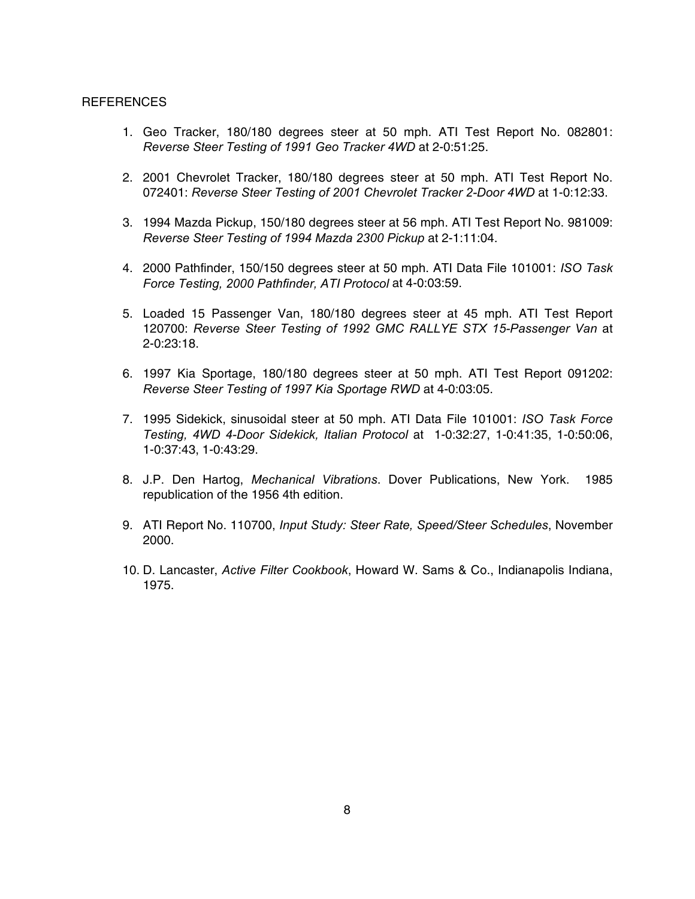#### REFERENCES

- 1. Geo Tracker, 180/180 degrees steer at 50 mph. ATI Test Report No. 082801: *Reverse Steer Testing of 1991 Geo Tracker 4WD* at 2-0:51:25.
- 2. 2001 Chevrolet Tracker, 180/180 degrees steer at 50 mph. ATI Test Report No. 072401: *Reverse Steer Testing of 2001 Chevrolet Tracker 2-Door 4WD* at 1-0:12:33.
- 3. 1994 Mazda Pickup, 150/180 degrees steer at 56 mph. ATI Test Report No. 981009: *Reverse Steer Testing of 1994 Mazda 2300 Pickup* at 2-1:11:04.
- 4. 2000 Pathfinder, 150/150 degrees steer at 50 mph. ATI Data File 101001: *ISO Task Force Testing, 2000 Pathfinder, ATI Protocol* at 4-0:03:59.
- 5. Loaded 15 Passenger Van, 180/180 degrees steer at 45 mph. ATI Test Report 120700: *Reverse Steer Testing of 1992 GMC RALLYE STX 15-Passenger Van* at 2-0:23:18.
- 6. 1997 Kia Sportage, 180/180 degrees steer at 50 mph. ATI Test Report 091202: *Reverse Steer Testing of 1997 Kia Sportage RWD* at 4-0:03:05.
- 7. 1995 Sidekick, sinusoidal steer at 50 mph. ATI Data File 101001: *ISO Task Force Testing, 4WD 4-Door Sidekick, Italian Protocol* at 1-0:32:27, 1-0:41:35, 1-0:50:06, 1-0:37:43, 1-0:43:29.
- 8. J.P. Den Hartog, *Mechanical Vibrations*. Dover Publications, New York. 1985 republication of the 1956 4th edition.
- 9. ATI Report No. 110700, *Input Study: Steer Rate, Speed/Steer Schedules*, November 2000.
- 10. D. Lancaster, *Active Filter Cookbook*, Howard W. Sams & Co., Indianapolis Indiana, 1975.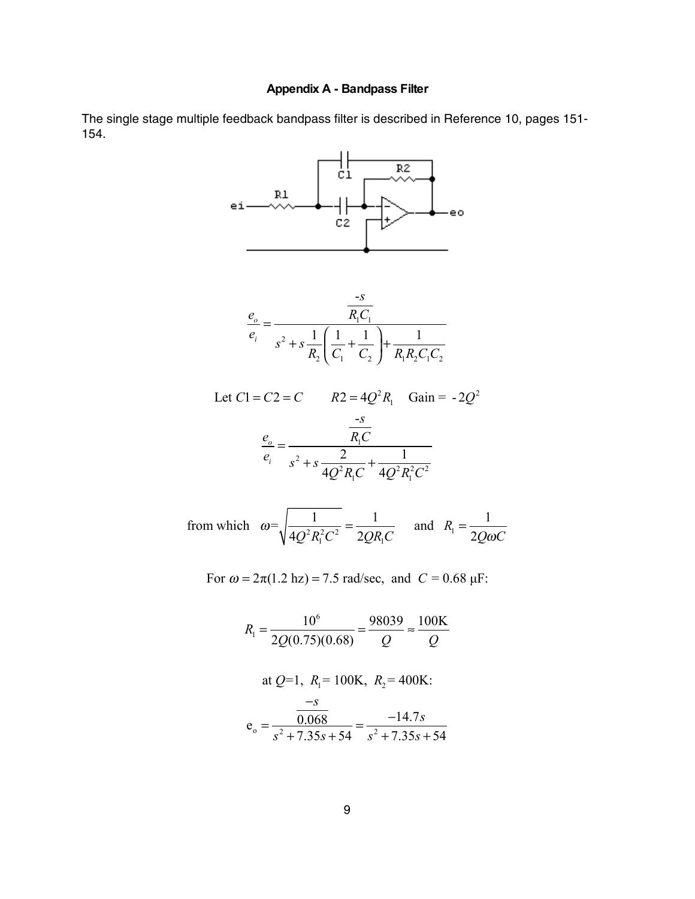# **Appendix A - Bandpass Filter**

The single stage multiple feedback bandpass filter is described in Reference 10, pages 151- 154.



from which 
$$
\omega = \sqrt{\frac{1}{4Q^2 R_1^2 C^2}} = \frac{1}{2QR_1 C}
$$
 and  $R_1 = \frac{1}{2Q\omega C}$ 

For 
$$
\omega = 2\pi(1.2 \text{ hz}) = 7.5 \text{ rad/sec}
$$
, and  $C = 0.68 \mu\text{F}$ :

$$
R_1 = \frac{10^6}{2Q(0.75)(0.68)} = \frac{98039}{Q} \approx \frac{100 \text{K}}{Q}
$$
  
at  $Q=1$ ,  $R_1 = 100 \text{K}$ ,  $R_2 = 400 \text{K}$ :  

$$
e_o = \frac{\frac{-s}{0.068}}{s^2 + 7.35s + 54} = \frac{-14.7s}{s^2 + 7.35s + 54}
$$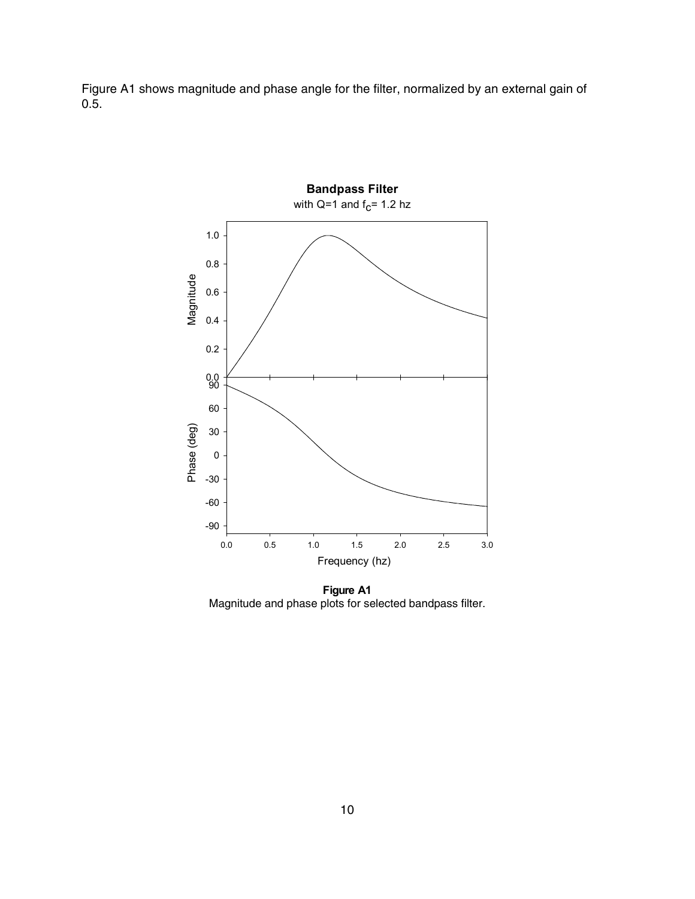Figure A1 shows magnitude and phase angle for the filter, normalized by an external gain of 0.5.



**Figure A1** Magnitude and phase plots for selected bandpass filter.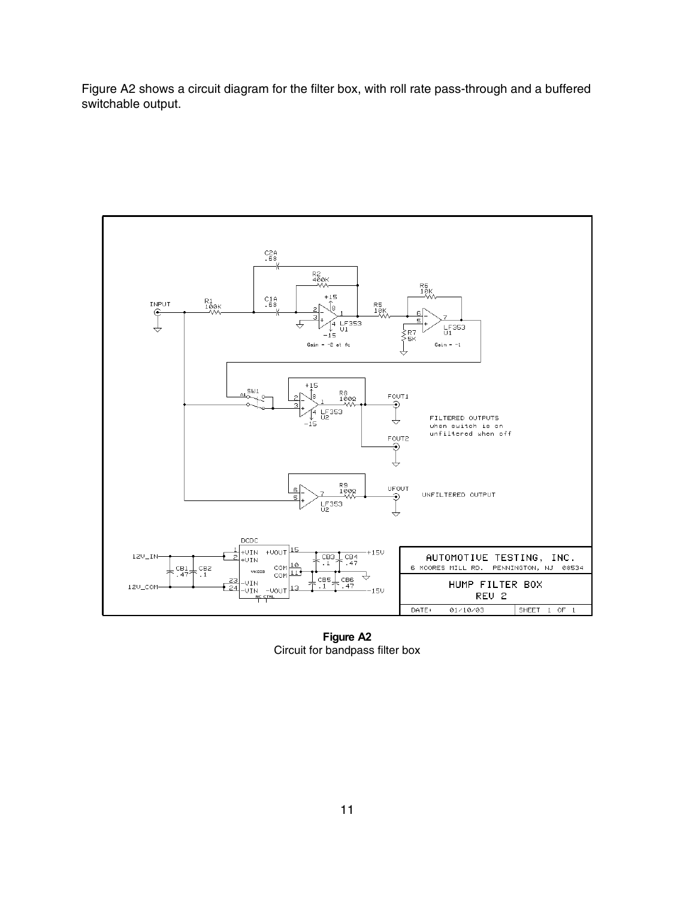Figure A2 shows a circuit diagram for the filter box, with roll rate pass-through and a buffered switchable output.



**Figure A2** Circuit for bandpass filter box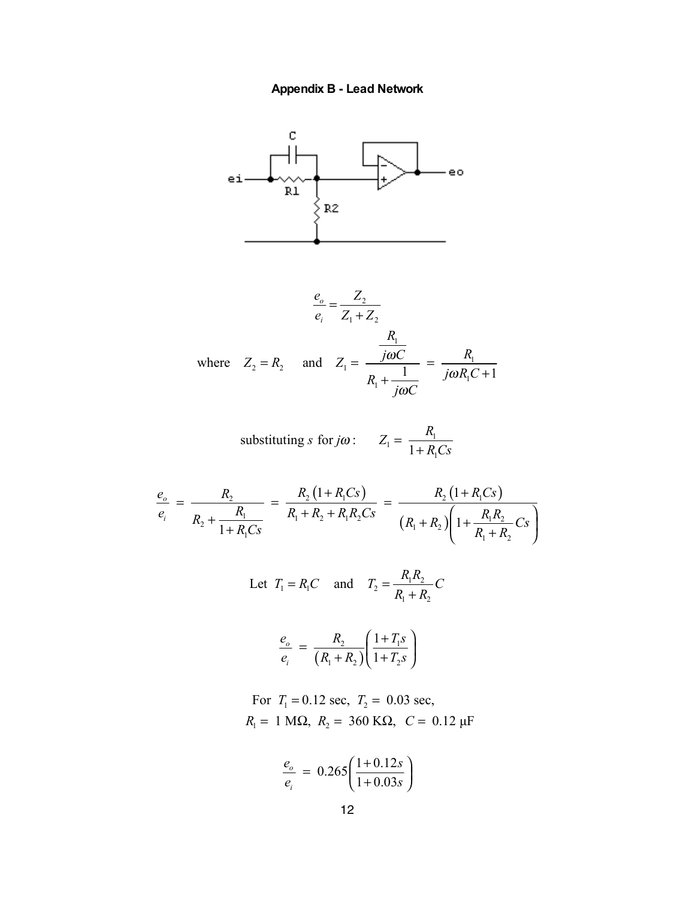



$$
\frac{e_o}{e_i} = \frac{Z_2}{Z_1 + Z_2}
$$
  
where  $Z_2 = R_2$  and  $Z_1 = \frac{\frac{R_1}{j\omega C}}{R_1 + \frac{1}{j\omega C}} = \frac{R_1}{j\omega R_1 C + 1}$ 

substituting *s* for 
$$
j\omega
$$
:  $Z_1 = \frac{R_1}{1 + R_1Cs}$ 

$$
\frac{e_o}{e_i} = \frac{R_2}{R_2 + \frac{R_1}{1 + R_1 C s}} = \frac{R_2 (1 + R_1 C s)}{R_1 + R_2 + R_1 R_2 C s} = \frac{R_2 (1 + R_1 C s)}{(R_1 + R_2) \left(1 + \frac{R_1 R_2}{R_1 + R_2} C s\right)}
$$

Let 
$$
T_1 = R_1 C
$$
 and  $T_2 = \frac{R_1 R_2}{R_1 + R_2} C$ 

$$
\frac{e_o}{e_i} = \frac{R_2}{(R_1 + R_2)} \left( \frac{1 + T_1 s}{1 + T_2 s} \right)
$$

For 
$$
T_1 = 0.12
$$
 sec,  $T_2 = 0.03$  sec,  
 $R_1 = 1$  M $\Omega$ ,  $R_2 = 360$  K $\Omega$ ,  $C = 0.12$  µF

$$
\frac{e_o}{e_i} = 0.265 \left( \frac{1+0.12s}{1+0.03s} \right)
$$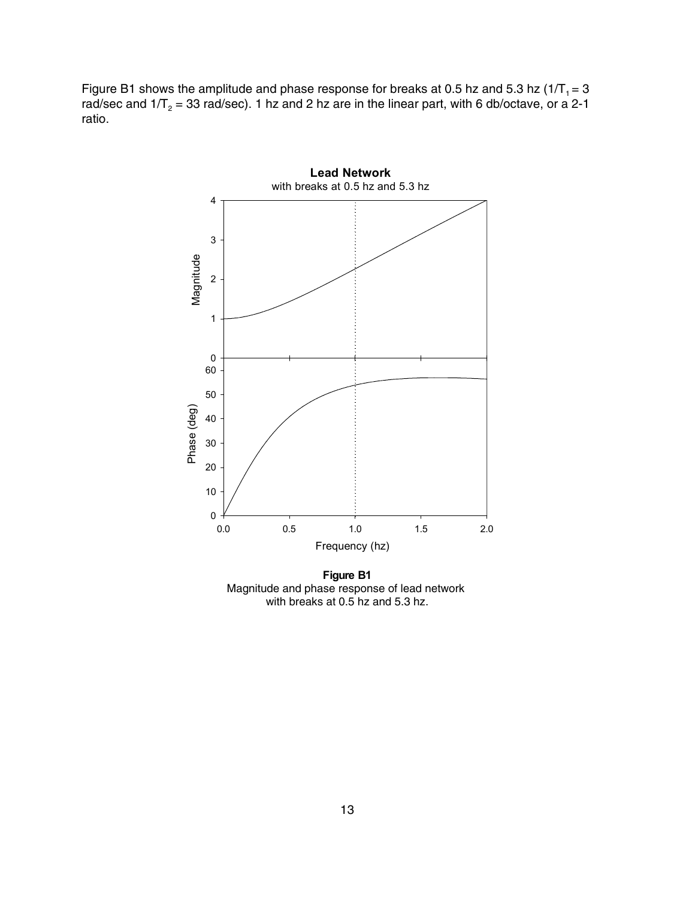Figure B1 shows the amplitude and phase response for breaks at 0.5 hz and 5.3 hz (1/T<sub>1</sub> = 3 rad/sec and 1/T<sub>2</sub> = 33 rad/sec). 1 hz and 2 hz are in the linear part, with 6 db/octave, or a 2-1 ratio.



**Figure B1** Magnitude and phase response of lead network with breaks at 0.5 hz and 5.3 hz.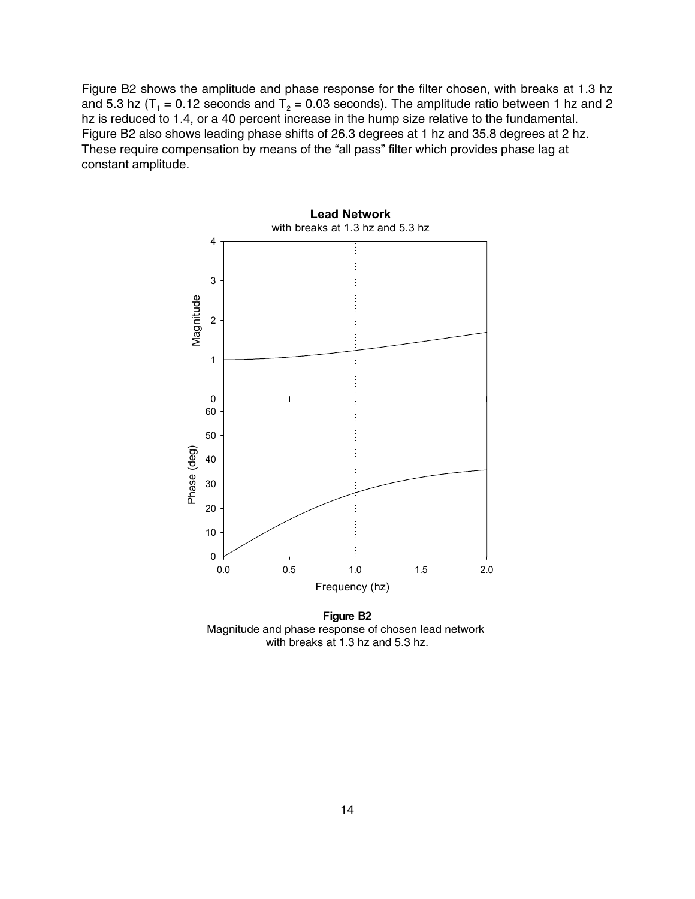Figure B2 shows the amplitude and phase response for the filter chosen, with breaks at 1.3 hz and 5.3 hz (T<sub>1</sub> = 0.12 seconds and T<sub>2</sub> = 0.03 seconds). The amplitude ratio between 1 hz and 2 hz is reduced to 1.4, or a 40 percent increase in the hump size relative to the fundamental. Figure B2 also shows leading phase shifts of 26.3 degrees at 1 hz and 35.8 degrees at 2 hz. These require compensation by means of the "all pass" filter which provides phase lag at constant amplitude.



**Figure B2** Magnitude and phase response of chosen lead network with breaks at 1.3 hz and 5.3 hz.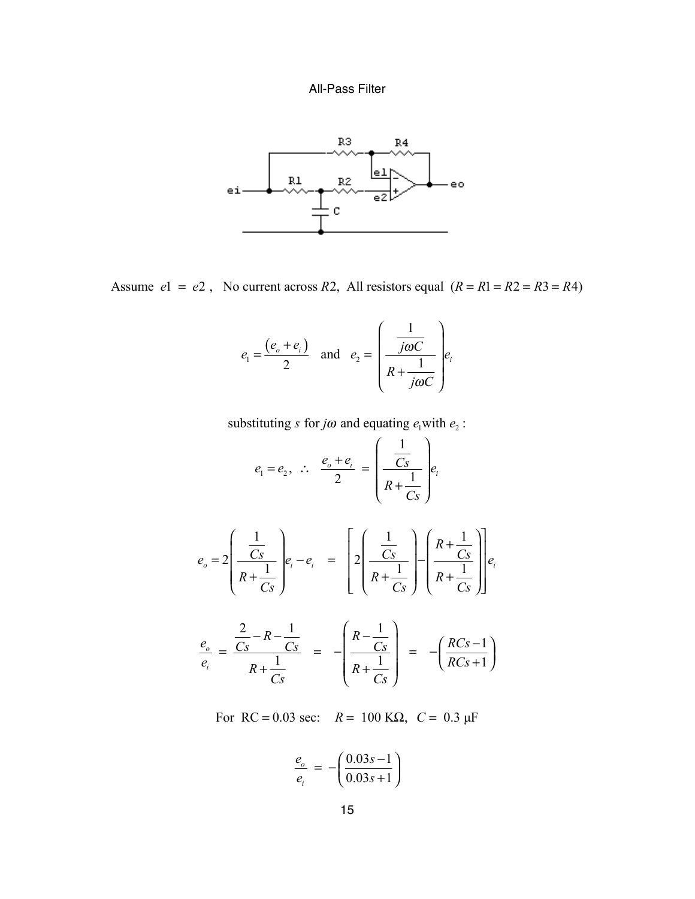# All-Pass Filter



Assume  $el = e^2$ , No current across R2, All resistors equal  $(R = R1 = R2 = R3 = R4)$ 

$$
e_1 = \frac{(e_0 + e_1)}{2}
$$
 and  $e_2 = \left(\frac{\frac{1}{j\omega C}}{R + \frac{1}{j\omega C}}\right) e_i$ 

substituting *s* for *j* $\omega$  and equating  $e_1$  with  $e_2$ :

$$
e_1 = e_2, \quad \therefore \quad \frac{e_o + e_i}{2} = \left(\frac{\frac{1}{Cs}}{R + \frac{1}{Cs}}\right) e_i
$$

$$
e_o = 2\left(\frac{\frac{1}{Cs}}{R + \frac{1}{Cs}}\right) e_i - e_i = \left[2\left(\frac{\frac{1}{Cs}}{R + \frac{1}{Cs}}\right) - \left(\frac{R + \frac{1}{Cs}}{R + \frac{1}{Cs}}\right)\right] e_i
$$

$$
\frac{e_o}{e_i} = \frac{\frac{2}{Cs} - R - \frac{1}{Cs}}{R + \frac{1}{Cs}} = -\left(\frac{R - \frac{1}{Cs}}{R + \frac{1}{Cs}}\right) = -\left(\frac{RCs - 1}{RCs + 1}\right)
$$

For RC = 0.03 sec:  $R = 100 \text{ K}\Omega$ ,  $C = 0.3 \mu\text{F}$ 

$$
\frac{e_o}{e_i} = -\left(\frac{0.03s - 1}{0.03s + 1}\right)
$$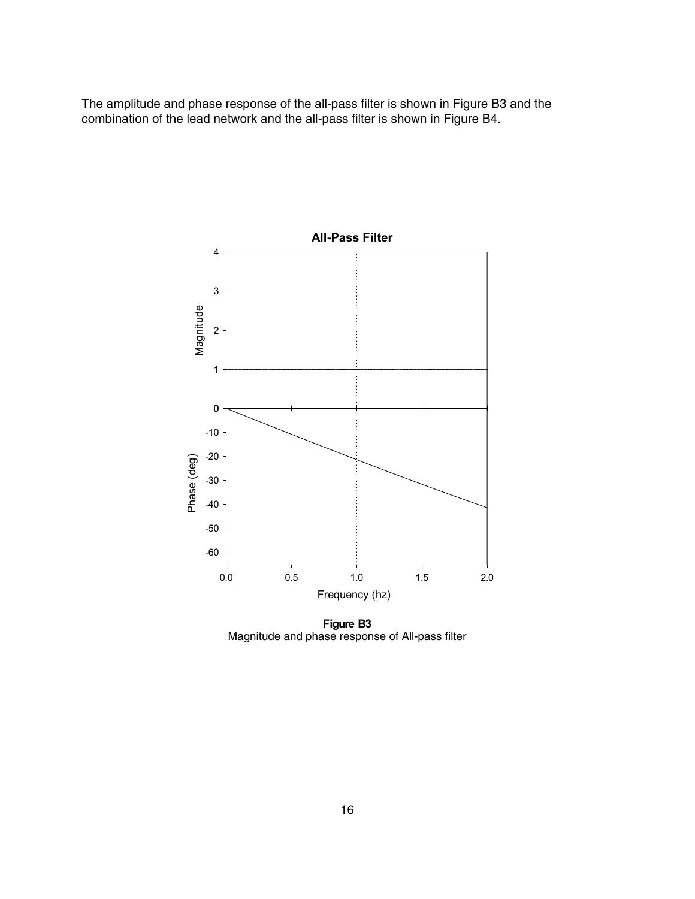The amplitude and phase response of the all-pass filter is shown in Figure B3 and the combination of the lead network and the all-pass filter is shown in Figure B4.



**Figure B3** Magnitude and phase response of All-pass filter